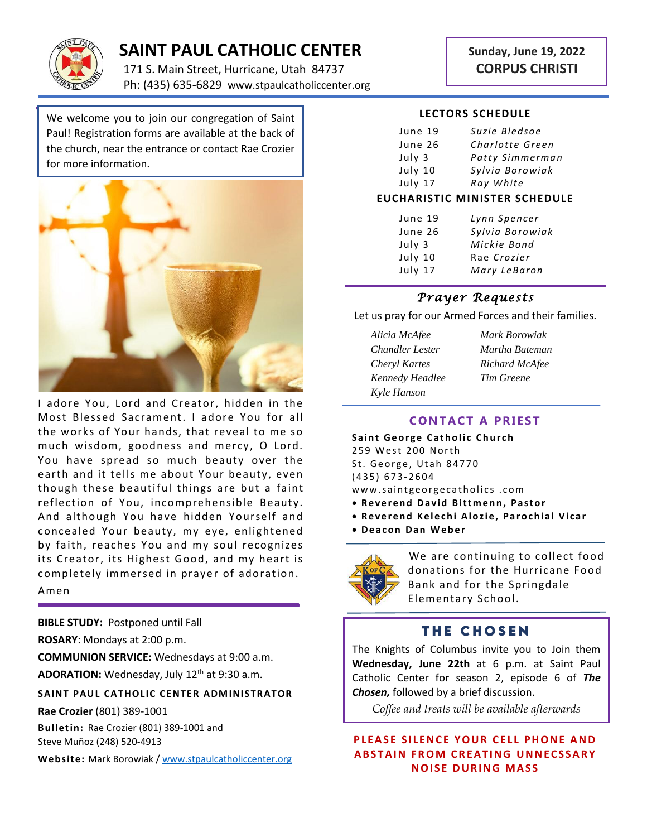

# **SAINT PAUL CATHOLIC CENTER**

171 S. Main Street, Hurricane, Utah 84737 Ph: (435) 635-6829 www.stpaulcatholiccenter.org

# **Sunday, June 19, 2022 CORPUS CHRISTI**

We welcome you to join our congregation of Saint Paul! Registration forms are available at the back of the church, near the entrance or contact Rae Crozier for more information.



I adore You, Lord and Creator, hidden in the Most Blessed Sacrament. I adore You for all the works of Your hands, that reveal to me so much wisdom, goodness and mercy, O Lord. You have spread so much beauty over the earth and it tells me about Your beauty, even though these beautiful things are but a faint reflection of You, incomprehensible Beauty. And although You have hidden Yourself and concealed Your beauty, my eye, enlightened by faith, reaches You and my soul recognizes its Creator, its Highest Good, and my heart is completely immersed in prayer of adoration. Amen

**BIBLE STUDY:** Postponed until Fall

**ROSARY**: Mondays at 2:00 p.m.

**COMMUNION SERVICE:** Wednesdays at 9:00 a.m.

ADORATION: Wednesday, July 12<sup>th</sup> at 9:30 a.m.

**SAINT PAUL CATHOLIC CENTER ADMINISTRATOR** 

**Rae Crozier** (801) 389-1001

**Bulletin:** Rae Crozier (801) 389-1001 and Steve Muñoz (248) 520-4913

**Web site:** Mark Borowiak [/ www.stpaulcatholiccenter.org](http://www.stpaulcatholiccenter.org/)

#### **LECTORS SCHEDULE**

| June 19 | Suzie Bledsoe   |
|---------|-----------------|
| June 26 | Charlotte Green |
| July 3  | Patty Simmerman |
| July 10 | Sylvia Borowiak |
| July 17 | Ray White       |

#### **EUCHARISTIC MINISTER SCHEDULE**

| June 19 | Lynn Spencer    |
|---------|-----------------|
| June 26 | Sylvia Borowiak |
| July 3  | Mickie Bond     |
| July 10 | Rae Crozier     |
| July 17 | Mary LeBaron    |

#### *Prayer Requests*

Let us pray for our Armed Forces and their families.

- *Alicia McAfee Mark Borowiak Chandler Lester Martha Bateman Cheryl Kartes Richard McAfee Kennedy Headlee Tim Greene Kyle Hanson*
	-

### **CONTACT A PRIEST**

**Saint George Catholic Church** 259 West 200 North St. George, Utah 84770 ( 4 3 5 ) 6 7 3- 2604 www.saintgeorgecatholics.com

- **Reverend David Bittmenn, Pastor**
- **Reverend Kelechi Alozie, Parochial Vicar**
- **D e a c o n D a n W e b e r**



We are continuing to collect food donations for the Hurricane Food Bank and for the Springdale Elementary School.

## **THE CHOSEN**

The Knights of Columbus invite you to Join them **Wednesday, June 22th** at 6 p.m. at Saint Paul Catholic Center for season 2, episode 6 of *The Chosen,* followed by a brief discussion.

*Coffee and treats will be available afterwards*

**PLEASE SILENCE YOUR CELL PHONE AND ABSTAIN FROM CREATING UNNECSSARY NOISE DURING MASS**